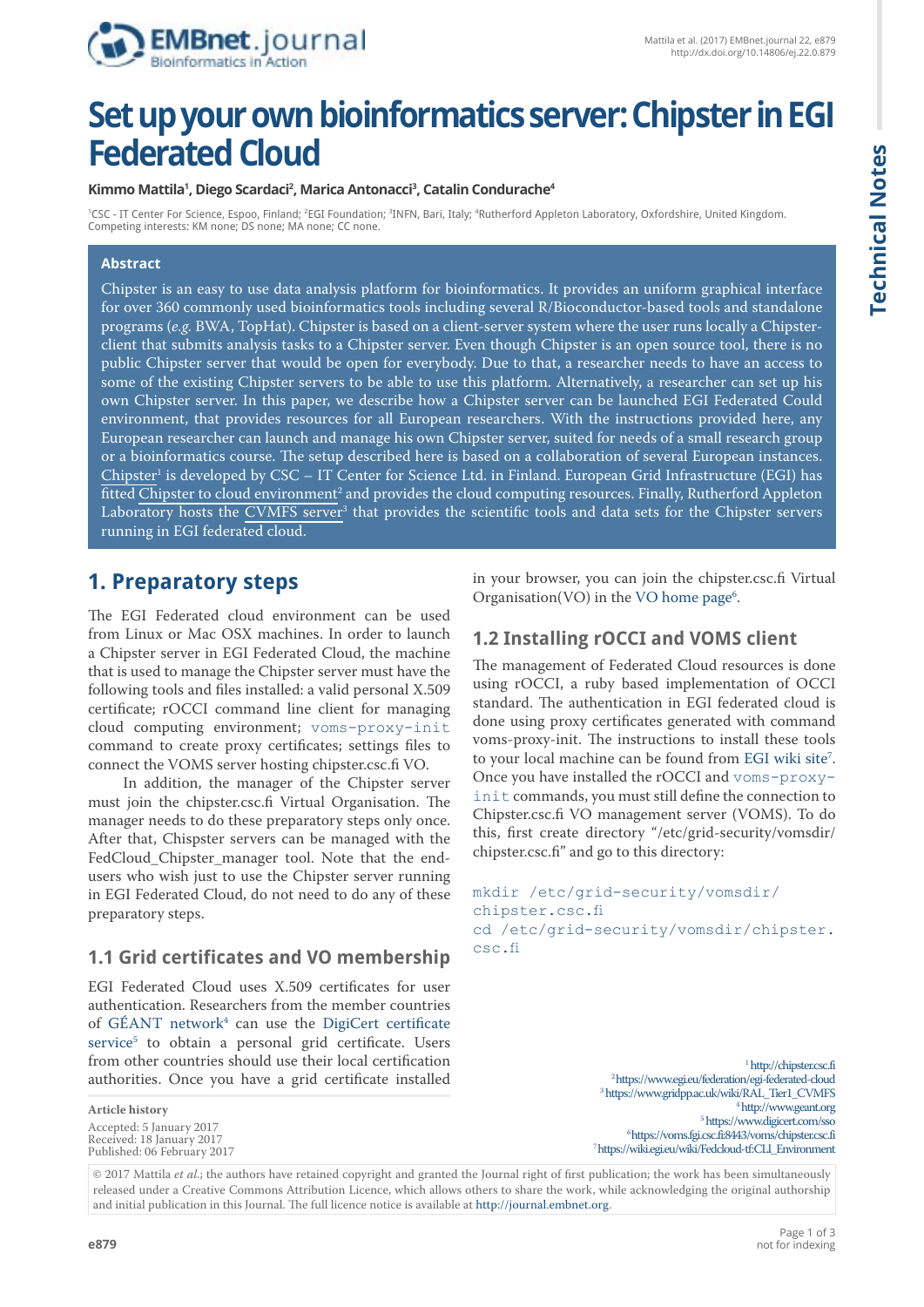

# **Technical Notes Technical Notes**

# **Set up your own bioinformatics server: Chipster in EGI Federated Cloud**

#### **Kimmo Mattila1 , Diego Scardaci2 , Marica Antonacci3 , Catalin Condurache4**

'CSC - IT Center For Science, Espoo, Finland; <sup>2</sup>EGI Foundation; <sup>3</sup>INFN, Bari, Italy; <sup>4</sup>Rutherford Appleton Laboratory, Oxfordshire, United Kingdom. Competing interests: KM none; DS none; MA none; CC none.

#### **Abstract**

Chipster is an easy to use data analysis platform for bioinformatics. It provides an uniform graphical interface for over 360 commonly used bioinformatics tools including several R/Bioconductor-based tools and standalone programs (*e.g.* BWA, TopHat). Chipster is based on a client-server system where the user runs locally a Chipsterclient that submits analysis tasks to a Chipster server. Even though Chipster is an open source tool, there is no public Chipster server that would be open for everybody. Due to that, a researcher needs to have an access to some of the existing Chipster servers to be able to use this platform. Alternatively, a researcher can set up his own Chipster server. In this paper, we describe how a Chipster server can be launched EGI Federated Could environment, that provides resources for all European researchers. With the instructions provided here, any European researcher can launch and manage his own Chipster server, suited for needs of a small research group or a bioinformatics course. The setup described here is based on a collaboration of several European instances.  ${\rm Chipster}^{\rm 1}$  is developed by CSC – IT Center for Science Ltd. in Finland. European Grid Infrastructure (EGI) has fitted <u>Chipster to cloud environment<sup>2</sup> and provides the cloud computing resources. Finally, Rutherford Appleton</u> Laboratory hosts the <u>CVMFS server</u>3 that provides the scientific tools and data sets for the Chipster servers running in EGI federated cloud.

# **1. Preparatory steps**

The EGI Federated cloud environment can be used from Linux or Mac OSX machines. In order to launch a Chipster server in EGI Federated Cloud, the machine that is used to manage the Chipster server must have the following tools and files installed: a valid personal X.509 certificate; rOCCI command line client for managing cloud computing environment; voms-proxy-init command to create proxy certificates; settings files to connect the VOMS server hosting chipster.csc.fi VO.

In addition, the manager of the Chipster server must join the chipster.csc.fi Virtual Organisation. The manager needs to do these preparatory steps only once. After that, Chispster servers can be managed with the FedCloud Chipster manager tool. Note that the endusers who wish just to use the Chipster server running in EGI Federated Cloud, do not need to do any of these preparatory steps.

## **1.1 Grid certificates and VO membership**

EGI Federated Cloud uses X.509 certificates for user authentication. Researchers from the member countries of GEANT network $4$  can use the [DigiCert certificate](https://www.digicert.com/sso) [service5](https://www.digicert.com/sso) to obtain a personal grid certificate. Users from other countries should use their local certification authorities. Once you have a grid certificate installed

**Article history** Accepted: 5 January 2017 Received: 18 January 2017 Published: 06 February 2017 in your browser, you can join the chipster.csc.fi Virtual Organisation(VO) in the VO home page<sup>6</sup>.

#### **1.2 Installing rOCCI and VOMS client**

The management of Federated Cloud resources is done using rOCCI, a ruby based implementation of OCCI standard. The authentication in EGI federated cloud is done using proxy certificates generated with command voms-proxy-init. The instructions to install these tools to your local machine can be found from EGI wiki site<sup>7</sup>. Once you have installed the rOCCI and voms-proxyinit commands, you must still define the connection to Chipster.csc.fi VO management server (VOMS). To do this, first create directory "/etc/grid-security/vomsdir/ chipster.csc.fi" and go to this directory:

```
mkdir /etc/grid-security/vomsdir/
chipster.csc.fi
cd /etc/grid-security/vomsdir/chipster.
csc.fi
```
[1](http://chipster.csc.fi)http://chipster.csc.fi [2 https://www.egi.eu/federation/egi-federated-cloud](https://www.egi.eu/federation/egi-federated-cloud) 3  [https://www.gridpp.ac.uk/wiki/RAL\\_Tier1\\_CVMFS](https://www.gridpp.ac.uk/wiki/RAL_Tier1_CVMFS) 4 <http://www.geant.org> 5 <https://www.digicert.com/sso> [6 https://voms.fgi.csc.fi:8443/voms/chipster.csc.fi](https://voms.fgi.csc.fi:8443/voms/chipster.csc.fi) 7 https://wiki.egi.eu/wiki/Fedcloud-tf:CLI\_Environment

© 2017 Mattila *et al.*; the authors have retained copyright and granted the Journal right of first publication; the work has been simultaneously released under a Creative Commons Attribution Licence, which allows others to share the work, while acknowledging the original authorship and initial publication in this Journal. The full licence notice is available at <http://journal.embnet.org>.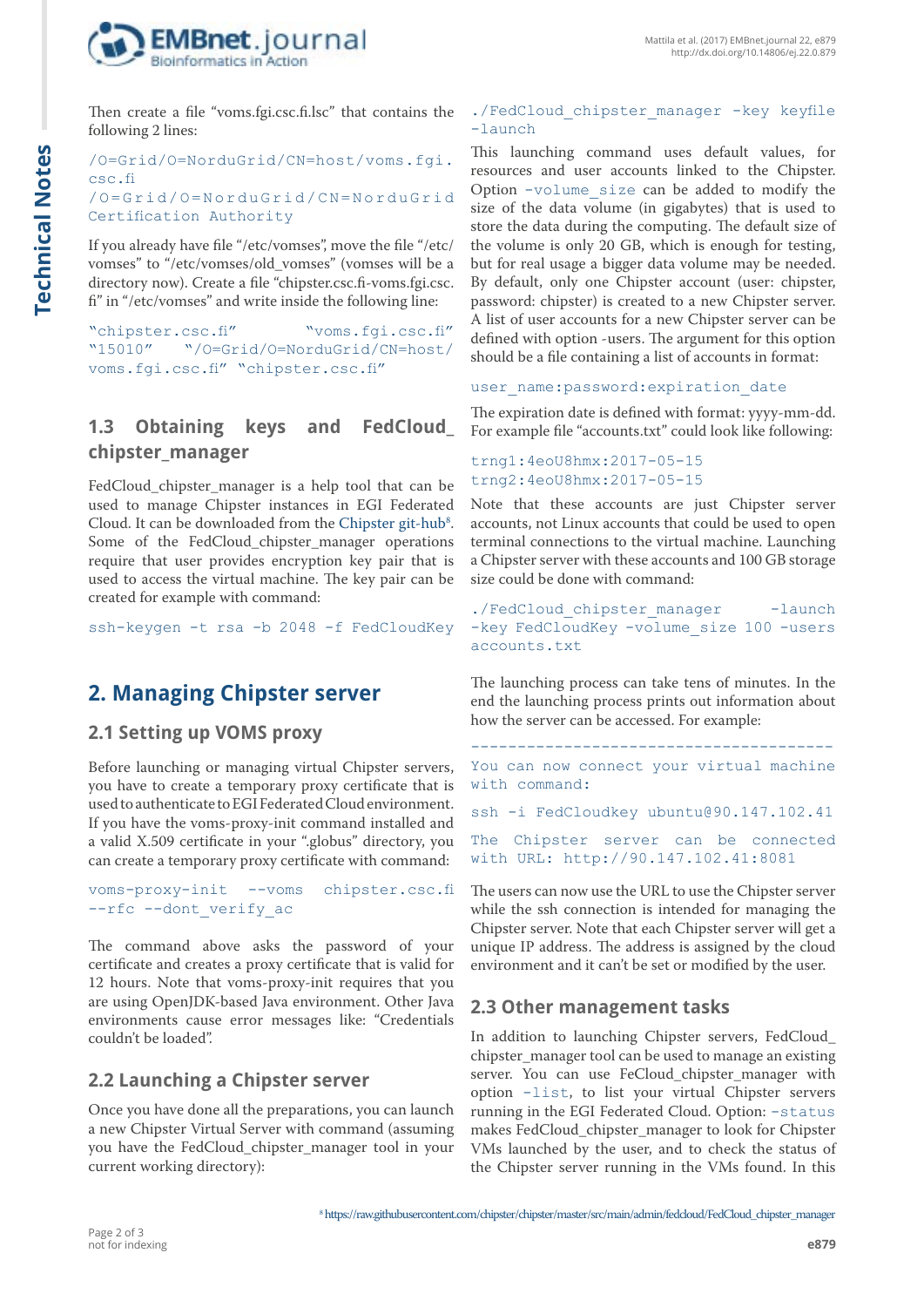

Then create a file "voms.fgi.csc.fi.lsc" that contains the following 2 lines:

/O=Grid/O=NorduGrid/CN=host/voms.fgi. csc.fi /O = G r i d / O = N o r d u G r i d / C N = N o r d u G r i d Certification Authority

If you already have file "/etc/vomses", move the file "/etc/ vomses" to "/etc/vomses/old\_vomses" (vomses will be a directory now). Create a file "chipster.csc.fi-voms.fgi.csc. fi" in "/etc/vomses" and write inside the following line:

"chipster.csc.fi" "voms.fgi.csc.fi" "/O=Grid/O=NorduGrid/CN=host/ voms.fgi.csc.fi" "chipster.csc.fi"

# **1.3 Obtaining keys and FedCloud\_ chipster\_manager**

FedCloud\_chipster\_manager is a help tool that can be used to manage Chipster instances in EGI Federated Cloud. It can be downloaded from the Chipster git-hub<sup>8</sup>. Some of the FedCloud\_chipster\_manager operations require that user provides encryption key pair that is used to access the virtual machine. The key pair can be created for example with command:

ssh-keygen -t rsa -b 2048 -f FedCloudKey

# **2. Managing Chipster server**

#### **2.1 Setting up VOMS proxy**

Before launching or managing virtual Chipster servers, you have to create a temporary proxy certificate that is used to authenticate to EGI Federated Cloud environment. If you have the voms-proxy-init command installed and a valid X.509 certificate in your ".globus" directory, you can create a temporary proxy certificate with command:

voms-proxy-init --voms chipster.csc.fi --rfc --dont verify ac

The command above asks the password of your certificate and creates a proxy certificate that is valid for 12 hours. Note that voms-proxy-init requires that you are using OpenJDK-based Java environment. Other Java environments cause error messages like: "Credentials couldn't be loaded".

## **2.2 Launching a Chipster server**

Once you have done all the preparations, you can launch a new Chipster Virtual Server with command (assuming you have the FedCloud\_chipster\_manager tool in your current working directory):

#### ./FedCloud chipster manager -key keyfile -launch

This launching command uses default values, for resources and user accounts linked to the Chipster. Option -volume\_size can be added to modify the size of the data volume (in gigabytes) that is used to store the data during the computing. The default size of the volume is only 20 GB, which is enough for testing, but for real usage a bigger data volume may be needed. By default, only one Chipster account (user: chipster, password: chipster) is created to a new Chipster server. A list of user accounts for a new Chipster server can be defined with option -users. The argument for this option should be a file containing a list of accounts in format:

user name: password: expiration date

The expiration date is defined with format: yyyy-mm-dd. For example file "accounts.txt" could look like following:

#### trng1:4eoU8hmx:2017-05-15 trng2:4eoU8hmx:2017-05-15

Note that these accounts are just Chipster server accounts, not Linux accounts that could be used to open terminal connections to the virtual machine. Launching a Chipster server with these accounts and 100 GB storage size could be done with command:

```
./FedCloud chipster manager -launch
-key FedCloudKey -volume size 100 -users
accounts. txt
```
The launching process can take tens of minutes. In the end the launching process prints out information about how the server can be accessed. For example:

---------------------------------------

You can now connect your virtual machine with command:

ssh -i FedCloudkey ubuntu@90.147.102.41

The Chipster server can be connected with URL: http://90.147.102.41:8081

The users can now use the URL to use the Chipster server while the ssh connection is intended for managing the Chipster server. Note that each Chipster server will get a unique IP address. The address is assigned by the cloud environment and it can't be set or modified by the user.

#### **2.3 Other management tasks**

In addition to launching Chipster servers, FedCloud\_ chipster\_manager tool can be used to manage an existing server. You can use FeCloud chipster manager with option -list, to list your virtual Chipster servers running in the EGI Federated Cloud. Option: -status makes FedCloud\_chipster\_manager to look for Chipster VMs launched by the user, and to check the status of the Chipster server running in the VMs found. In this